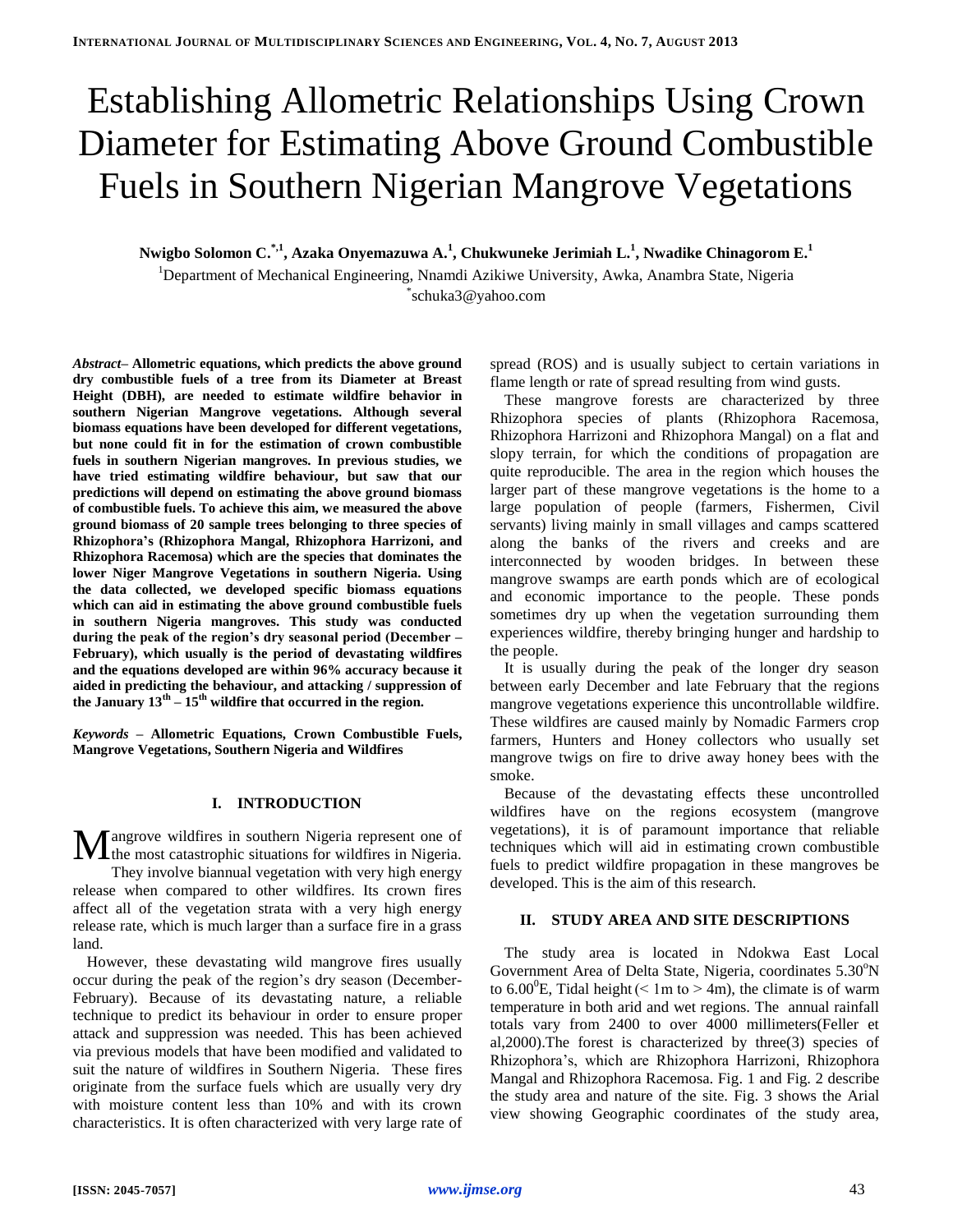# Establishing Allometric Relationships Using Crown Diameter for Estimating Above Ground Combustible Fuels in Southern Nigerian Mangrove Vegetations

**Nwigbo Solomon C. \*,1 , Azaka Onyemazuwa A.<sup>1</sup> , Chukwuneke Jerimiah L. 1 , Nwadike Chinagorom E. 1**

<sup>1</sup>Department of Mechanical Engineering, Nnamdi Azikiwe University, Awka, Anambra State, Nigeria \* [schuka3@yahoo.com](mailto:schuka3@yahoo.com)

*Abstract–* **Allometric equations, which predicts the above ground dry combustible fuels of a tree from its Diameter at Breast Height (DBH), are needed to estimate wildfire behavior in southern Nigerian Mangrove vegetations. Although several biomass equations have been developed for different vegetations, but none could fit in for the estimation of crown combustible fuels in southern Nigerian mangroves. In previous studies, we have tried estimating wildfire behaviour, but saw that our predictions will depend on estimating the above ground biomass of combustible fuels. To achieve this aim, we measured the above ground biomass of 20 sample trees belonging to three species of Rhizophora's (Rhizophora Mangal, Rhizophora Harrizoni, and Rhizophora Racemosa) which are the species that dominates the lower Niger Mangrove Vegetations in southern Nigeria. Using the data collected, we developed specific biomass equations which can aid in estimating the above ground combustible fuels in southern Nigeria mangroves. This study was conducted during the peak of the region's dry seasonal period (December – February), which usually is the period of devastating wildfires and the equations developed are within 96% accuracy because it aided in predicting the behaviour, and attacking / suppression of the January 13th – 15th wildfire that occurred in the region.**

*Keywords –* **Allometric Equations, Crown Combustible Fuels, Mangrove Vegetations, Southern Nigeria and Wildfires**

# **I. INTRODUCTION**

angrove wildfires in southern Nigeria represent one of **M** angrove wildfires in southern Nigeria represent one of the most catastrophic situations for wildfires in Nigeria. They involve biannual vegetation with very high energy release when compared to other wildfires. Its crown fires affect all of the vegetation strata with a very high energy release rate, which is much larger than a surface fire in a grass land.

However, these devastating wild mangrove fires usually occur during the peak of the region's dry season (December-February). Because of its devastating nature, a reliable technique to predict its behaviour in order to ensure proper attack and suppression was needed. This has been achieved via previous models that have been modified and validated to suit the nature of wildfires in Southern Nigeria. These fires originate from the surface fuels which are usually very dry with moisture content less than 10% and with its crown characteristics. It is often characterized with very large rate of spread (ROS) and is usually subject to certain variations in flame length or rate of spread resulting from wind gusts.

These mangrove forests are characterized by three Rhizophora species of plants (Rhizophora Racemosa, Rhizophora Harrizoni and Rhizophora Mangal) on a flat and slopy terrain, for which the conditions of propagation are quite reproducible. The area in the region which houses the larger part of these mangrove vegetations is the home to a large population of people (farmers, Fishermen, Civil servants) living mainly in small villages and camps scattered along the banks of the rivers and creeks and are interconnected by wooden bridges. In between these mangrove swamps are earth ponds which are of ecological and economic importance to the people. These ponds sometimes dry up when the vegetation surrounding them experiences wildfire, thereby bringing hunger and hardship to the people.

It is usually during the peak of the longer dry season between early December and late February that the regions mangrove vegetations experience this uncontrollable wildfire. These wildfires are caused mainly by Nomadic Farmers crop farmers, Hunters and Honey collectors who usually set mangrove twigs on fire to drive away honey bees with the smoke.

Because of the devastating effects these uncontrolled wildfires have on the regions ecosystem (mangrove vegetations), it is of paramount importance that reliable techniques which will aid in estimating crown combustible fuels to predict wildfire propagation in these mangroves be developed. This is the aim of this research.

# **II. STUDY AREA AND SITE DESCRIPTIONS**

The study area is located in Ndokwa East Local Government Area of Delta State, Nigeria, coordinates 5.30<sup>o</sup>N to 6.00<sup>o</sup>E, Tidal height ( $\leq 1$ m to  $> 4$ m), the climate is of warm temperature in both arid and wet regions. The annual rainfall totals vary from 2400 to over 4000 millimeters(Feller et al,2000).The forest is characterized by three(3) species of Rhizophora's, which are Rhizophora Harrizoni, Rhizophora Mangal and Rhizophora Racemosa. Fig. 1 and Fig. 2 describe the study area and nature of the site. Fig. 3 shows the Arial view showing Geographic coordinates of the study area,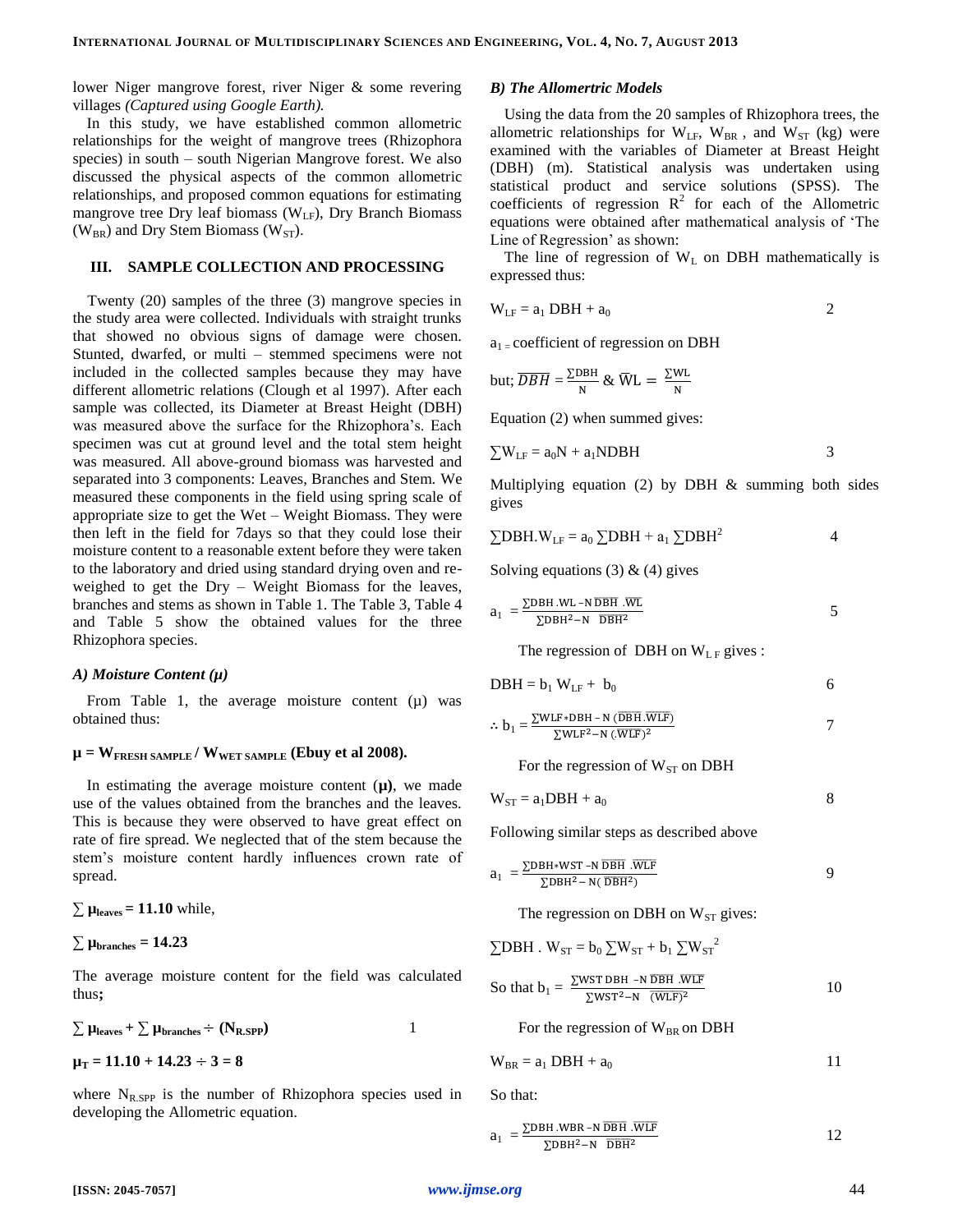lower Niger mangrove forest, river Niger & some revering villages *(Captured using Google Earth).*

# In this study, we have established common allometric relationships for the weight of mangrove trees (Rhizophora species) in south – south Nigerian Mangrove forest. We also discussed the physical aspects of the common allometric relationships, and proposed common equations for estimating mangrove tree Dry leaf biomass ( $W_{LF}$ ), Dry Branch Biomass  $(W_{BR})$  and Dry Stem Biomass (W<sub>ST</sub>).

#### **III. SAMPLE COLLECTION AND PROCESSING**

Twenty (20) samples of the three (3) mangrove species in the study area were collected. Individuals with straight trunks that showed no obvious signs of damage were chosen. Stunted, dwarfed, or multi – stemmed specimens were not included in the collected samples because they may have different allometric relations (Clough et al 1997). After each sample was collected, its Diameter at Breast Height (DBH) was measured above the surface for the Rhizophora's. Each specimen was cut at ground level and the total stem height was measured. All above-ground biomass was harvested and separated into 3 components: Leaves, Branches and Stem. We measured these components in the field using spring scale of appropriate size to get the Wet – Weight Biomass. They were then left in the field for 7days so that they could lose their moisture content to a reasonable extent before they were taken to the laboratory and dried using standard drying oven and reweighed to get the Dry – Weight Biomass for the leaves, branches and stems as shown in Table 1. The Table 3, Table 4 and Table 5 show the obtained values for the three Rhizophora species.

### *A) Moisture Content (µ)*

From Table 1, the average moisture content  $(\mu)$  was obtained thus:

### $\mu = W_{\text{FRESH SAMPLE}} / W_{\text{WET SAMPLE}}$  (Ebuy et al 2008).

In estimating the average moisture content  $(\mu)$ , we made use of the values obtained from the branches and the leaves. This is because they were observed to have great effect on rate of fire spread. We neglected that of the stem because the stem's moisture content hardly influences crown rate of spread.

 $\sum \mu_{\text{leaves}} = 11.10 \text{ while,}$ 

 $∑$   $µ$ <sub>branches</sub> = 14.23

The average moisture content for the field was calculated thus**;**

$$
\sum \mu_{\text{leaves}} + \sum \mu_{\text{branches}} \div (\mathbf{N}_{\text{R,SPP}})
$$
 1

 $\mu$ <sub>T</sub> = 11.10 + 14.23 ÷ 3 = 8

where  $N_{R,SPP}$  is the number of Rhizophora species used in developing the Allometric equation.

#### *B) The Allomertric Models*

Using the data from the 20 samples of Rhizophora trees, the allometric relationships for  $W_{LF}$ ,  $W_{BR}$ , and  $W_{ST}$  (kg) were examined with the variables of Diameter at Breast Height (DBH) (m). Statistical analysis was undertaken using statistical product and service solutions (SPSS). The coefficients of regression  $R^2$  for each of the Allometric equations were obtained after mathematical analysis of 'The Line of Regression' as shown:

The line of regression of  $W_L$  on DBH mathematically is expressed thus:

$$
W_{LF} = a_1 DBH + a_0
$$
 2

 $a_1$  = coefficient of regression on DBH

but; 
$$
\overline{DBH} = \frac{\Sigma DBH}{N} \& \overline{W}L = \frac{\Sigma WL}{N}
$$

Equation (2) when summed gives:

$$
\sum W_{LF} = a_0 N + a_1 NDBH
$$
 3

Multiplying equation  $(2)$  by DBH  $\&$  summing both sides gives

$$
\sum DBH.W_{LF} = a_0 \sum DBH + a_1 \sum DBH^2
$$
 4

Solving equations  $(3)$  &  $(4)$  gives

$$
a_1 = \frac{\Sigma DBH.WL - N DBH.WL}{\Sigma DBH^2 - N DBH^2}
$$
 5

The regression of DBH on  $W_{LF}$  gives :

$$
DBH = b_1 W_{LF} + b_0 \tag{6}
$$

$$
\therefore b_1 = \frac{\Sigma WLF * DBH - N(\overline{DBH} \cdot \overline{WLF})}{\Sigma WLF^2 - N(\overline{WLF})^2}
$$

For the regression of  $W<sub>ST</sub>$  on DBH

$$
W_{ST} = a_1 DBH + a_0 \tag{8}
$$

Following similar steps as described above

$$
a_1 = \frac{\Sigma DBH*WST - N\overline{DBH} \cdot WLF}{\Sigma DBH^2 - N(\overline{DBH}^2)}
$$
 9

The regression on DBH on  $W<sub>ST</sub>$  gives:

$$
\sum DBH \cdot W_{ST} = b_0 \sum W_{ST} + b_1 \sum W_{ST}^2
$$

So that 
$$
b_1 = \frac{\sum WST DBH - N \overline DBH \cdot WLF}{\sum WST^2 - N \cdot (\overline{WLF})^2}
$$
 10

For the regression of  $W_{BR}$  on DBH

$$
W_{BR} = a_1 DBH + a_0
$$
 11

So that:

$$
a_1 = \frac{\Sigma DBH.WBR - N \overline DBH.WLF}{\Sigma DBH^2 - N \overline DBH^2}
$$
 12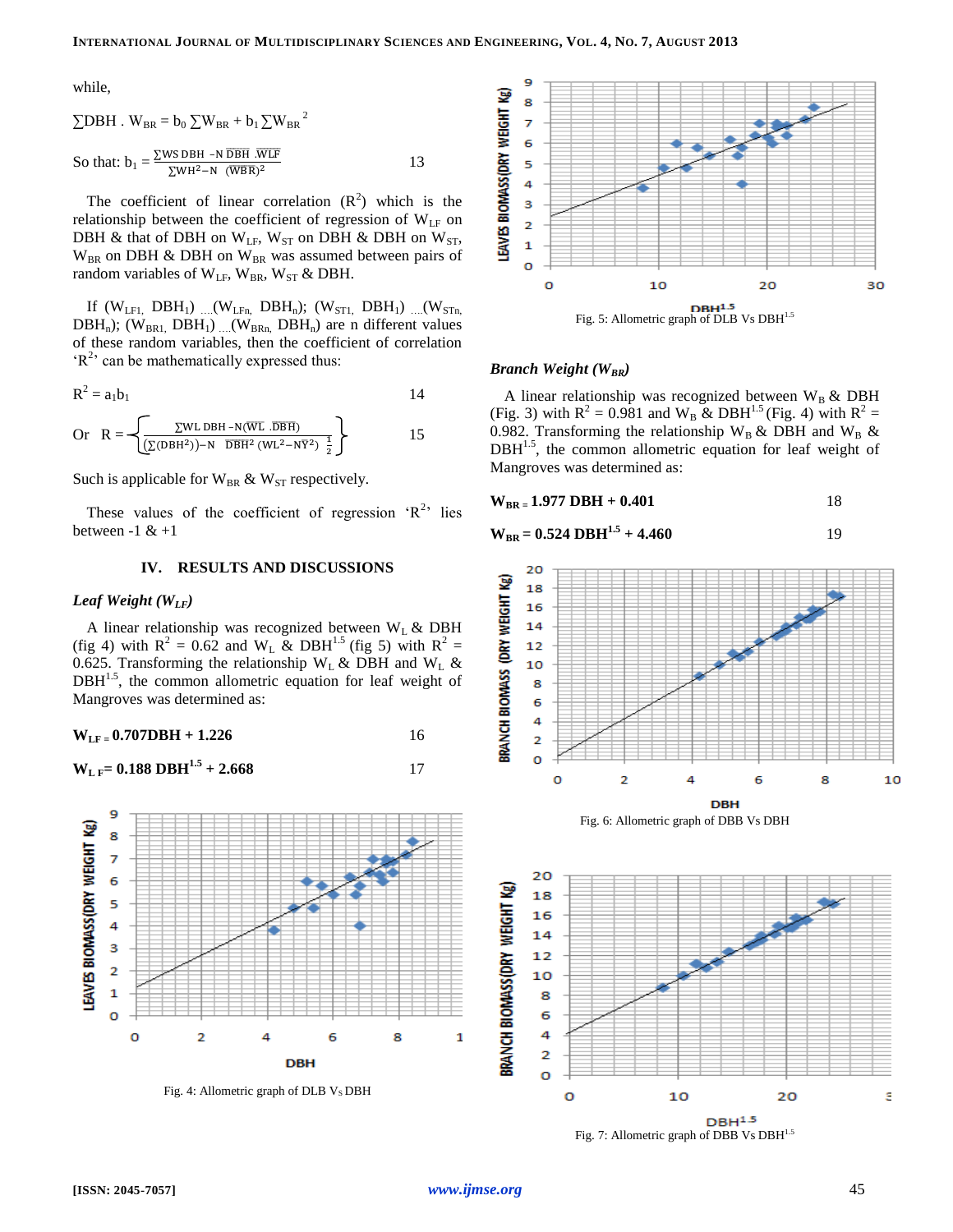while,

$$
\sum \text{DBH} \cdot \text{W}_{\text{BR}} = b_0 \sum \text{W}_{\text{BR}} + b_1 \sum \text{W}_{\text{BR}}^2
$$
  
So that:  $b_1 = \frac{\sum \text{WS DBH} - \text{NDEH} \cdot \overline{\text{WLE}}}{\sum \text{WH}^2 - \text{N} \cdot (\overline{\text{WBR}})^2}$  13

The coefficient of linear correlation  $(R^2)$  which is the relationship between the coefficient of regression of  $W_{LF}$  on DBH & that of DBH on  $W_{LF}$ ,  $W_{ST}$  on DBH & DBH on  $W_{ST}$ ,  $W_{BR}$  on DBH & DBH on  $W_{BR}$  was assumed between pairs of random variables of  $W_{LF}$ ,  $W_{BR}$ ,  $W_{ST}$  & DBH.

If  $(W_{LFI,} DBH_1)$  ....  $(W_{LFn,} DBH_n)$ ;  $(W_{ST1,} DBH_1)$  ...  $(W_{STn,}$  $DBH_n$ ); (W<sub>BR1,</sub> DBH<sub>1</sub>) ....(W<sub>BRn,</sub> DBH<sub>n</sub>) are n different values of these random variables, then the coefficient of correlation  $R<sup>2</sup>$  can be mathematically expressed thus:

$$
R^2 = a_1 b_1 \tag{14}
$$

Or 
$$
R = \left\{ \frac{\sum WL DBH - N(\overline{WL} \cdot \overline{DBH})}{(\sum (DBH^2)) - N \overline{DBH}^2 (WL^2 - N\overline{Y}^2) \frac{1}{2}} \right\}
$$
 15

Such is applicable for  $W_{BR}$  &  $W_{ST}$  respectively.

These values of the coefficient of regression  $R^2$  lies between  $-1 \& +1$ 

## **IV. RESULTS AND DISCUSSIONS**

# *Leaf Weight (WLF)*

A linear relationship was recognized between  $W<sub>L</sub>$  & DBH (fig 4) with  $R^2 = 0.62$  and  $W_L$  & DBH<sup>1.5</sup> (fig 5) with  $R^2 =$ 0.625. Transforming the relationship  $W_L \& DBH$  and  $W_L \& D$  $DBH<sup>1.5</sup>$ , the common allometric equation for leaf weight of Mangroves was determined as:

$$
W_{LF} = 0.707DBH + 1.226
$$
 16

$$
W_{L F} = 0.188 \text{ DBH}^{1.5} + 2.668 \tag{17}
$$



Fig. 4: Allometric graph of DLB  $V<sub>S</sub>$  DBH



#### *Branch Weight (WBR)*

A linear relationship was recognized between  $W_B \& DBH$ (Fig. 3) with  $R^2 = 0.981$  and W<sub>B</sub> & DBH<sup>1.5</sup> (Fig. 4) with  $R^2 =$ 0.982. Transforming the relationship  $W_B \& \text{DBH}$  and  $W_B \&$  $DBH<sup>1.5</sup>$ , the common allometric equation for leaf weight of Mangroves was determined as:

$$
W_{BR} = 1.977 DBH + 0.401
$$
 18

$$
W_{BR} = 0.524 \text{ DBH}^{1.5} + 4.460 \tag{19}
$$



Fig. 6: Allometric graph of DBB Vs DBH



Fig. 7: Allometric graph of DBB Vs DBH<sup>1.5</sup>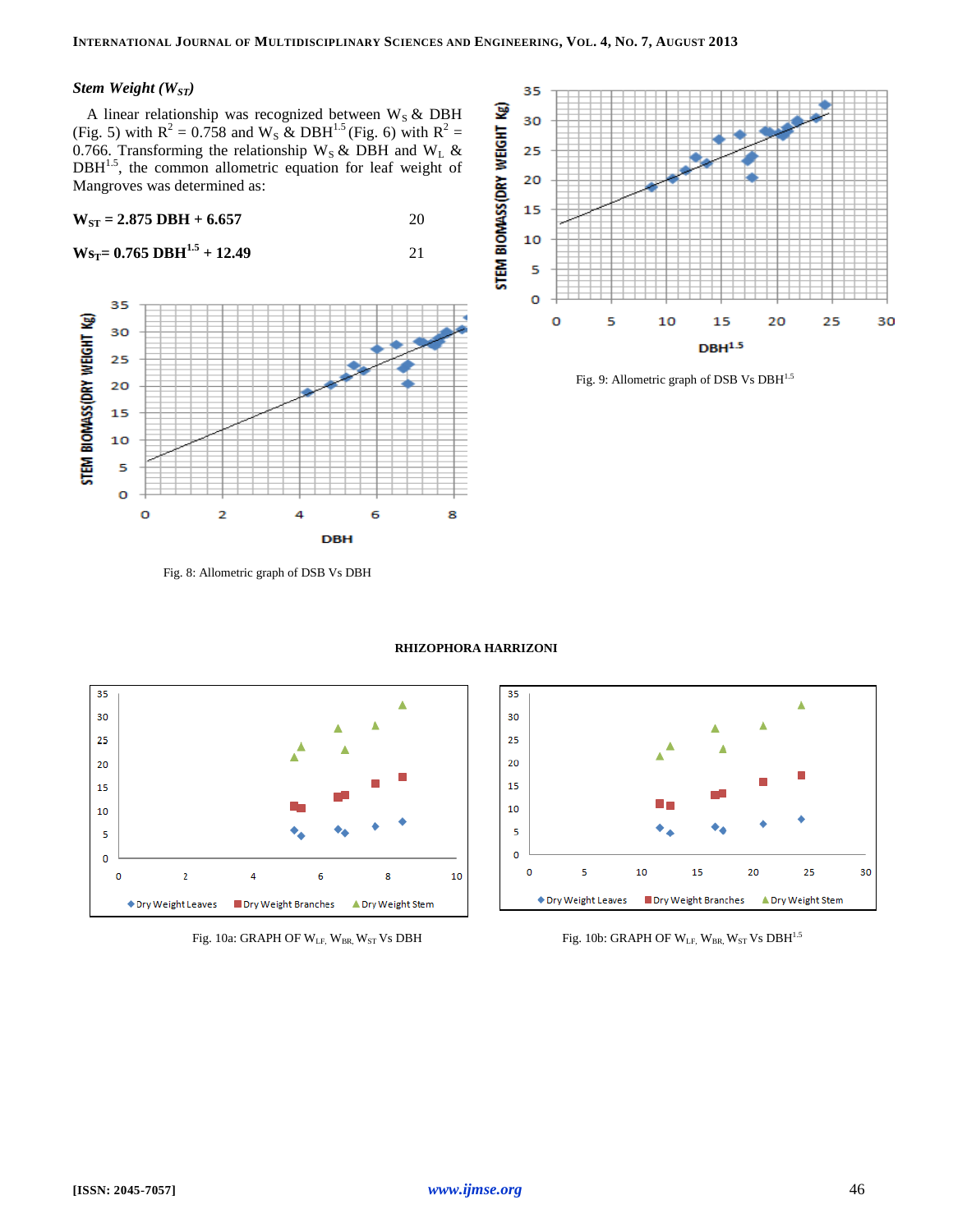# *Stem Weight (WST)*

A linear relationship was recognized between  $W_S \& DBH$ (Fig. 5) with  $R^2 = 0.758$  and W<sub>s</sub> & DBH<sup>1.5</sup> (Fig. 6) with  $R^2 =$ 0.766. Transforming the relationship  $W_S \& \text{ DBH}$  and  $W_L \&$  $DBH<sup>1.5</sup>$ , the common allometric equation for leaf weight of Mangroves was determined as:

$$
W_{ST} = 2.875 \text{ DBH} + 6.657 \qquad \qquad 20
$$

**W** $s_T = 0.765 \text{ DBH}^{1.5} + 12.49$  21



Fig. 8: Allometric graph of DSB Vs DBH



Fig. 9: Allometric graph of DSB Vs DBH<sup>1.5</sup>







Fig. 10a: GRAPH OF W<sub>LF,</sub> W<sub>BR,</sub> W<sub>ST</sub> Vs DBH Fig. 10b: GRAPH OF W<sub>LF,</sub> W<sub>BR,</sub> W<sub>ST</sub> Vs DBH<sup>1.5</sup>

**RHIZOPHORA HARRIZONI**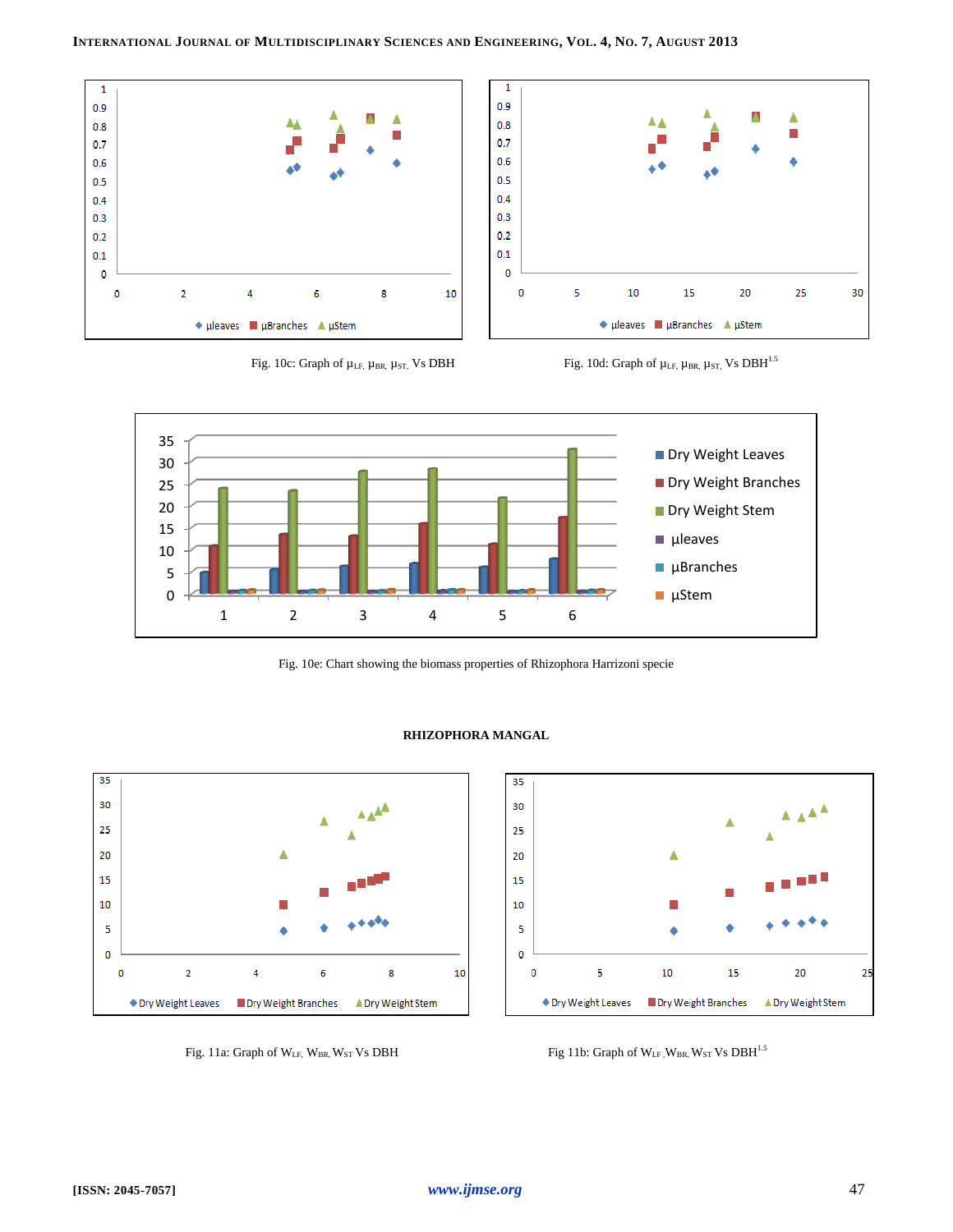





Fig. 10e: Chart showing the biomass properties of Rhizophora Harrizoni specie

**RHIZOPHORA MANGAL**







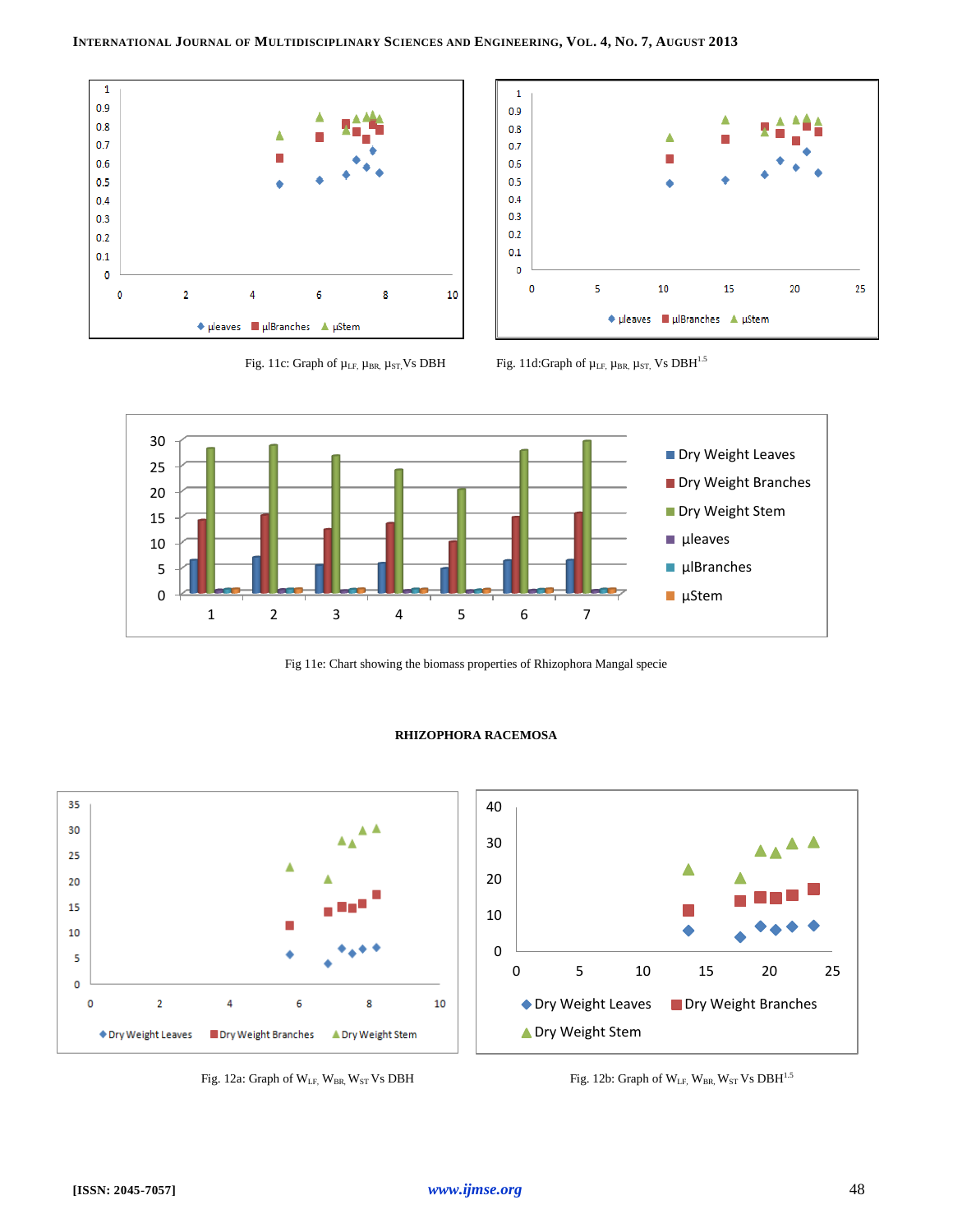







Fig 11e: Chart showing the biomass properties of Rhizophora Mangal specie



### **RHIZOPHORA RACEMOSA**

Fig. 12a: Graph of  $W_{LF}$ ,  $W_{BR}$ ,  $W_{ST}$  Vs DBH Fig. 12b: Graph of  $W_{LF}$ ,  $W_{BR}$ ,  $W_{ST}$  Vs DBH<sup>1.5</sup>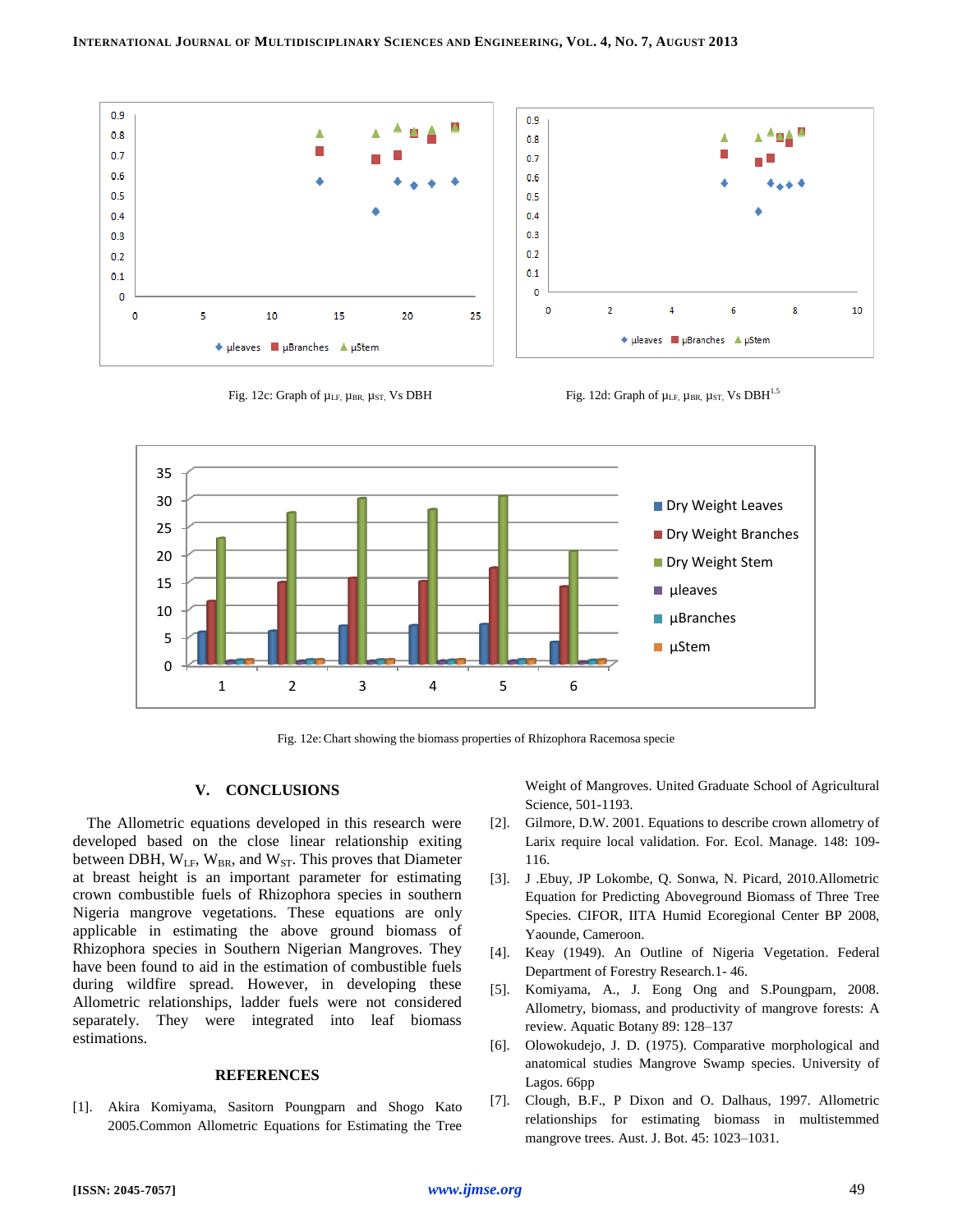





Fig. 12e:Chart showing the biomass properties of Rhizophora Racemosa specie

# **V. CONCLUSIONS**

The Allometric equations developed in this research were developed based on the close linear relationship exiting between DBH,  $W_{LF}$ ,  $W_{BR}$ , and  $W_{ST}$ . This proves that Diameter at breast height is an important parameter for estimating crown combustible fuels of Rhizophora species in southern Nigeria mangrove vegetations. These equations are only applicable in estimating the above ground biomass of Rhizophora species in Southern Nigerian Mangroves. They have been found to aid in the estimation of combustible fuels during wildfire spread. However, in developing these Allometric relationships, ladder fuels were not considered separately. They were integrated into leaf biomass estimations.

## **REFERENCES**

[1]. Akira Komiyama, Sasitorn Poungparn and Shogo Kato 2005.Common Allometric Equations for Estimating the Tree Weight of Mangroves. United Graduate School of Agricultural Science, 501-1193.

- [2]. Gilmore, D.W. 2001. Equations to describe crown allometry of Larix require local validation. For. Ecol. Manage. 148: 109- 116.
- [3]. J .Ebuy, JP Lokombe, Q. Sonwa, N. Picard, 2010.Allometric Equation for Predicting Aboveground Biomass of Three Tree Species. CIFOR, IITA Humid Ecoregional Center BP 2008, Yaounde, Cameroon.
- [4]. Keay (1949). An Outline of Nigeria Vegetation. Federal Department of Forestry Research.1- 46.
- [5]. Komiyama, A., J. Eong Ong and S.Poungparn, 2008. Allometry, biomass, and productivity of mangrove forests: A review. Aquatic Botany 89: 128–137
- [6]. Olowokudejo, J. D. (1975). Comparative morphological and anatomical studies Mangrove Swamp species. University of Lagos. 66pp
- [7]. Clough, B.F., P Dixon and O. Dalhaus, 1997. Allometric relationships for estimating biomass in multistemmed mangrove trees. Aust. J. Bot. 45: 1023–1031.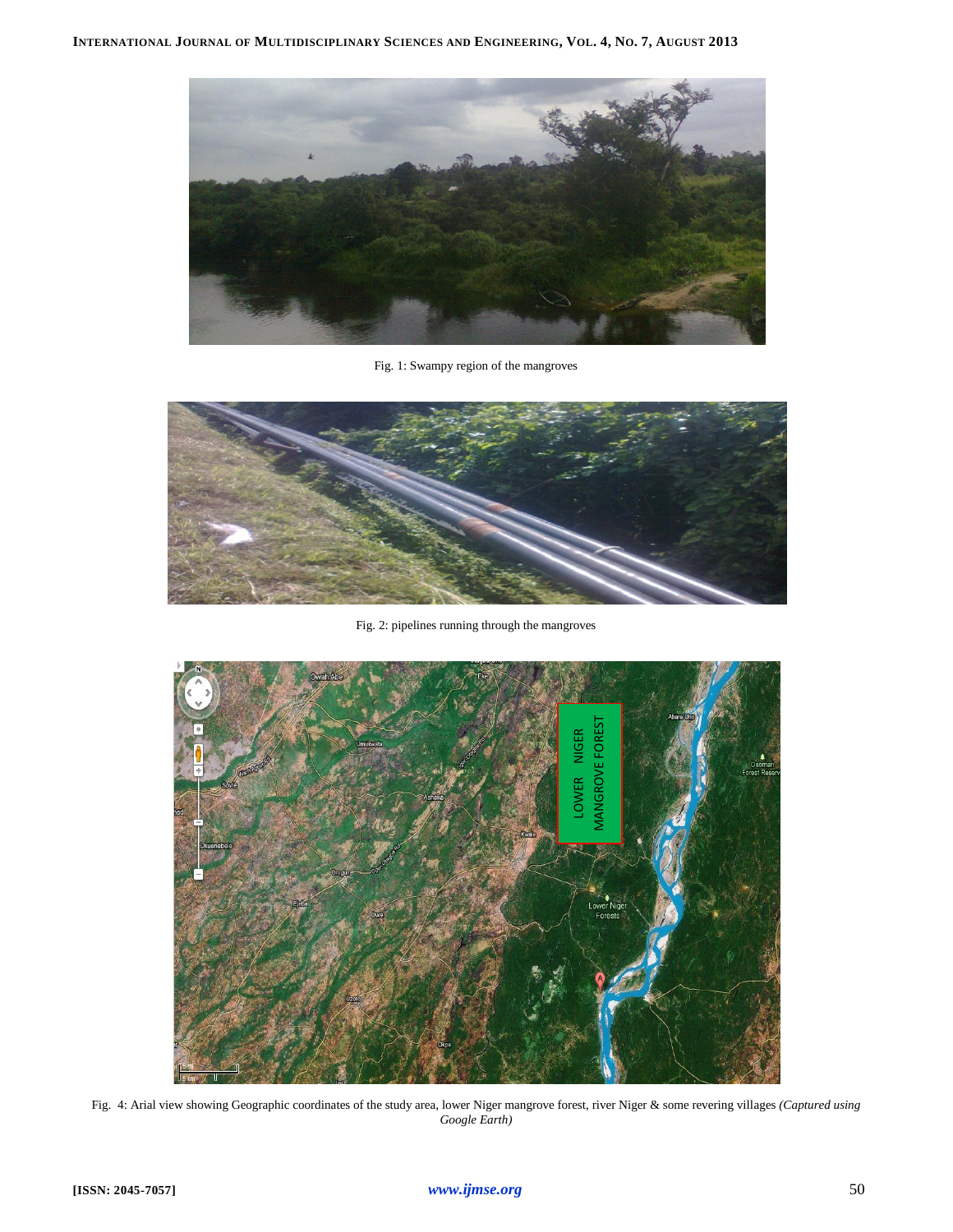

Fig. 1: Swampy region of the mangroves



Fig. 2: pipelines running through the mangroves



Fig. 4: Arial view showing Geographic coordinates of the study area, lower Niger mangrove forest, river Niger & some revering villages *(Captured using Google Earth)*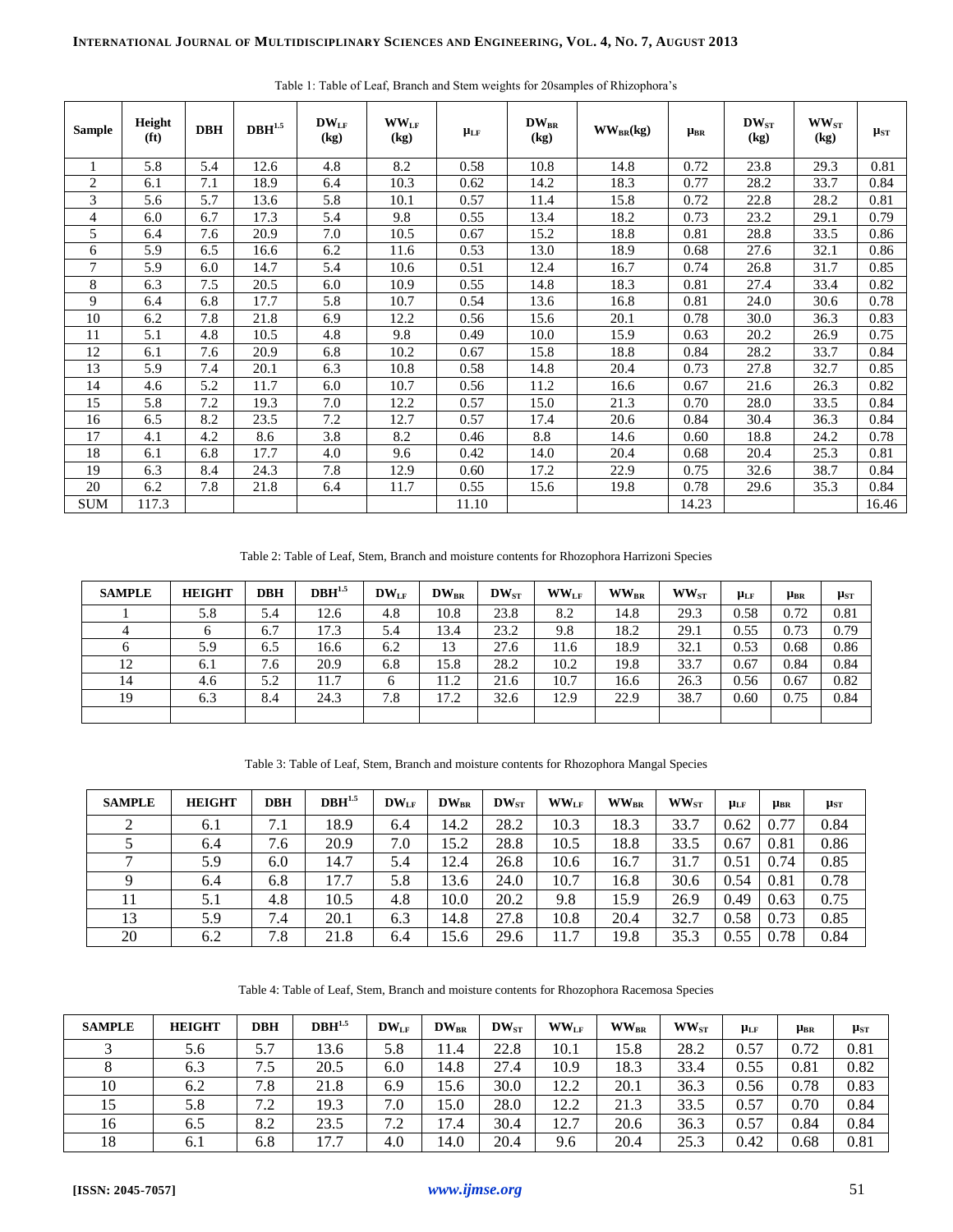| <b>Sample</b>  | Height<br>(f <sub>t</sub> ) | <b>DBH</b> | $\mathbf{DBH}^{1.5}$ | $DW_{LF}$<br>(kg) | $\mathbf{WW_{LF}}$<br>(kg) | $\mu_{LF}$ | $DW_{BR}$<br>(kg) | $WW_{BR}$ (kg) | $\mu_{BR}$ | $DW_{ST}$<br>(kg) | $WW_{ST}$<br>(kg) | $\mu_{ST}$ |
|----------------|-----------------------------|------------|----------------------|-------------------|----------------------------|------------|-------------------|----------------|------------|-------------------|-------------------|------------|
|                | 5.8                         | 5.4        | 12.6                 | 4.8               | 8.2                        | 0.58       | 10.8              | 14.8           | 0.72       | 23.8              | 29.3              | 0.81       |
| $\overline{2}$ | 6.1                         | 7.1        | 18.9                 | 6.4               | 10.3                       | 0.62       | 14.2              | 18.3           | 0.77       | 28.2              | 33.7              | 0.84       |
| 3              | 5.6                         | 5.7        | 13.6                 | 5.8               | 10.1                       | 0.57       | 11.4              | 15.8           | 0.72       | 22.8              | 28.2              | 0.81       |
| 4              | 6.0                         | 6.7        | 17.3                 | 5.4               | 9.8                        | 0.55       | 13.4              | 18.2           | 0.73       | 23.2              | 29.1              | 0.79       |
| 5              | 6.4                         | 7.6        | 20.9                 | 7.0               | 10.5                       | 0.67       | 15.2              | 18.8           | 0.81       | 28.8              | 33.5              | 0.86       |
| 6              | 5.9                         | 6.5        | 16.6                 | 6.2               | 11.6                       | 0.53       | 13.0              | 18.9           | 0.68       | 27.6              | 32.1              | 0.86       |
| 7              | 5.9                         | 6.0        | 14.7                 | 5.4               | 10.6                       | 0.51       | 12.4              | 16.7           | 0.74       | 26.8              | 31.7              | 0.85       |
| 8              | 6.3                         | 7.5        | 20.5                 | 6.0               | 10.9                       | 0.55       | 14.8              | 18.3           | 0.81       | 27.4              | 33.4              | 0.82       |
| 9              | 6.4                         | 6.8        | 17.7                 | 5.8               | 10.7                       | 0.54       | 13.6              | 16.8           | 0.81       | 24.0              | 30.6              | 0.78       |
| 10             | 6.2                         | 7.8        | 21.8                 | 6.9               | 12.2                       | 0.56       | 15.6              | 20.1           | 0.78       | 30.0              | 36.3              | 0.83       |
| 11             | 5.1                         | 4.8        | 10.5                 | 4.8               | 9.8                        | 0.49       | 10.0              | 15.9           | 0.63       | 20.2              | 26.9              | 0.75       |
| 12             | 6.1                         | 7.6        | 20.9                 | 6.8               | 10.2                       | 0.67       | 15.8              | 18.8           | 0.84       | 28.2              | 33.7              | 0.84       |
| 13             | 5.9                         | 7.4        | 20.1                 | 6.3               | 10.8                       | 0.58       | 14.8              | 20.4           | 0.73       | 27.8              | 32.7              | 0.85       |
| 14             | 4.6                         | 5.2        | 11.7                 | 6.0               | 10.7                       | 0.56       | 11.2              | 16.6           | 0.67       | 21.6              | 26.3              | 0.82       |
| 15             | 5.8                         | 7.2        | 19.3                 | 7.0               | 12.2                       | 0.57       | 15.0              | 21.3           | 0.70       | 28.0              | 33.5              | 0.84       |
| 16             | 6.5                         | 8.2        | 23.5                 | 7.2               | 12.7                       | 0.57       | 17.4              | 20.6           | 0.84       | 30.4              | 36.3              | 0.84       |
| 17             | 4.1                         | 4.2        | 8.6                  | 3.8               | 8.2                        | 0.46       | 8.8               | 14.6           | 0.60       | 18.8              | 24.2              | 0.78       |
| 18             | 6.1                         | 6.8        | 17.7                 | 4.0               | 9.6                        | 0.42       | 14.0              | 20.4           | 0.68       | 20.4              | 25.3              | 0.81       |
| 19             | 6.3                         | 8.4        | 24.3                 | 7.8               | 12.9                       | 0.60       | 17.2              | 22.9           | 0.75       | 32.6              | 38.7              | 0.84       |
| 20             | 6.2                         | 7.8        | 21.8                 | 6.4               | 11.7                       | 0.55       | 15.6              | 19.8           | 0.78       | 29.6              | 35.3              | 0.84       |
| <b>SUM</b>     | 117.3                       |            |                      |                   |                            | 11.10      |                   |                | 14.23      |                   |                   | 16.46      |

Table 1: Table of Leaf, Branch and Stem weights for 20samples of Rhizophora's

Table 2: Table of Leaf, Stem, Branch and moisture contents for Rhozophora Harrizoni Species

| <b>SAMPLE</b> | <b>HEIGHT</b> | <b>DBH</b> | $DBH^{1.5}$ | $DW_{LF}$ | $DW_{BR}$ | $DW_{ST}$ | $WW_{LF}$ | $\mathbf{WW}_{\text{BR}}$ | $WW_{ST}$ | $\mu_{LF}$ | $\mu_{BR}$ | $\mu_{ST}$ |
|---------------|---------------|------------|-------------|-----------|-----------|-----------|-----------|---------------------------|-----------|------------|------------|------------|
|               | 5.8           | 5.4        | 12.6        | 4.8       | 10.8      | 23.8      | 8.2       | 14.8                      | 29.3      | 0.58       | 0.72       | 0.81       |
|               |               | 6.7        | 17.3        | 5.4       | 13.4      | 23.2      | 9.8       | 18.2                      | 29.1      | 0.55       | 0.73       | 0.79       |
| 6             | 5.9           | 6.5        | 16.6        | 6.2       | 13        | 27.6      | 11.6      | 18.9                      | 32.1      | 0.53       | 0.68       | 0.86       |
| 12            | 6.1           | 7.6        | 20.9        | 6.8       | 15.8      | 28.2      | 10.2      | 19.8                      | 33.7      | 0.67       | 0.84       | 0.84       |
| 14            | 4.6           | 5.2        | 11.7        | 6         | 11.2      | 21.6      | 10.7      | 16.6                      | 26.3      | 0.56       | 0.67       | 0.82       |
| 19            | 6.3           | 8.4        | 24.3        | 7.8       | 17.2      | 32.6      | 12.9      | 22.9                      | 38.7      | 0.60       | 0.75       | 0.84       |
|               |               |            |             |           |           |           |           |                           |           |            |            |            |

Table 3: Table of Leaf, Stem, Branch and moisture contents for Rhozophora Mangal Species

| <b>SAMPLE</b> | <b>HEIGHT</b> | <b>DBH</b> | DBH <sup>1.5</sup> | $DW_{LF}$ | $DW_{BR}$ | $DW_{ST}$ | $WW_{LF}$ | <b>WWBR</b> | $WW_{ST}$ | $\mu_{LF}$ | <b>µBR</b> | $\mu_{ST}$ |
|---------------|---------------|------------|--------------------|-----------|-----------|-----------|-----------|-------------|-----------|------------|------------|------------|
| 2             | 6.1           | 7.1        | 18.9               | 6.4       | 14.2      | 28.2      | 10.3      | 18.3        | 33.7      | 0.62       | 0.77       | 0.84       |
|               | 6.4           | 7.6        | 20.9               | 7.0       | 15.2      | 28.8      | 10.5      | 18.8        | 33.5      | 0.67       | 0.81       | 0.86       |
| ⇁             | 5.9           | 6.0        | 14.7               | 5.4       | 12.4      | 26.8      | 10.6      | 16.7        | 31.7      | 0.51       | 0.74       | 0.85       |
|               | 6.4           | 6.8        | 17.7               | 5.8       | 13.6      | 24.0      | 10.7      | 16.8        | 30.6      | 0.54       | 0.81       | 0.78       |
| 11            | 5.1           | 4.8        | 10.5               | 4.8       | 10.0      | 20.2      | 9.8       | 15.9        | 26.9      | 0.49       | 0.63       | 0.75       |
| 13            | 5.9           | 7.4        | 20.1               | 6.3       | 14.8      | 27.8      | 10.8      | 20.4        | 32.7      | 0.58       | 0.73       | 0.85       |
| 20            | 6.2           | 7.8        | 21.8               | 6.4       | 15.6      | 29.6      | 11.7      | 19.8        | 35.3      | 0.55       | 0.78       | 0.84       |

Table 4: Table of Leaf, Stem, Branch and moisture contents for Rhozophora Racemosa Species

| <b>SAMPLE</b> | <b>HEIGHT</b> | <b>DBH</b> | DBH <sup>1.5</sup> | $DW_{LF}$ | $DW_{BR}$ | $DW_{ST}$ | $WW_{LF}$ | $WW_{BR}$ | $\mathbf{WW_{ST}}$ | $\mu_{LF}$ | $\mu_{\rm BR}$ | $\mu_{ST}$ |
|---------------|---------------|------------|--------------------|-----------|-----------|-----------|-----------|-----------|--------------------|------------|----------------|------------|
|               | 5.6           | 5.7        | 13.6               | 5.8       | 1.4       | 22.8      | 10.1      | 15.8      | 28.2               | 0.57       | 0.72           | 0.81       |
|               | 6.3           | 7.5        | 20.5               | 6.0       | 14.8      | 27.4      | 10.9      | 18.3      | 33.4               | 0.55       | 0.81           | 0.82       |
| 10            | 6.2           | 7.8        | 21.8               | 6.9       | 15.6      | 30.0      | 12.2      | 20.1      | 36.3               | 0.56       | 0.78           | 0.83       |
| 15            | 5.8           | 7.2        | 19.3               | 7.0       | 15.0      | 28.0      | 12.2      | 21.3      | 33.5               | 0.57       | 0.70           | 0.84       |
| 16            | 6.5           | 8.2        | 23.5               | 7.2       | 17.4      | 30.4      | 12.7      | 20.6      | 36.3               | 0.57       | 0.84           | 0.84       |
| 18            | 6.1           | 6.8        | 17.7               | 4.0       | 14.0      | 20.4      | 9.6       | 20.4      | 25.3               | 0.42       | 0.68           | 0.81       |